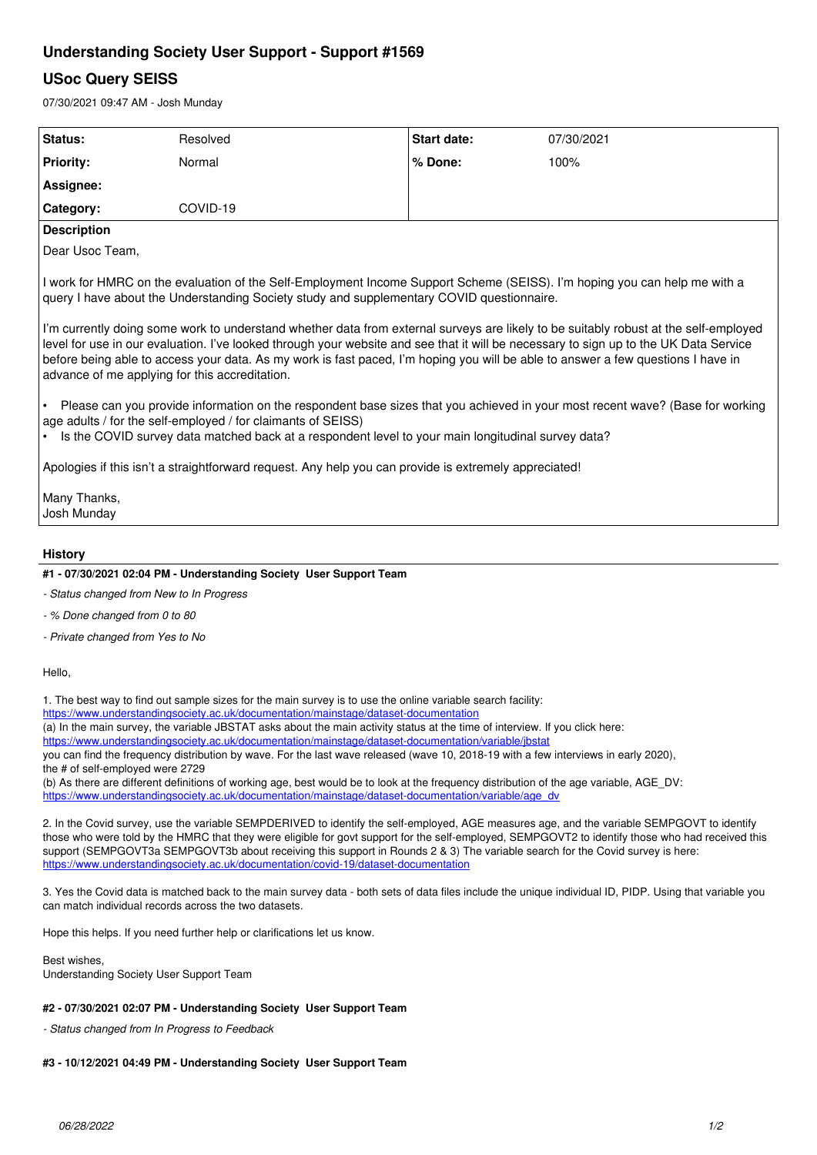## **Understanding Society User Support - Support #1569**

## **USoc Query SEISS**

07/30/2021 09:47 AM - Josh Munday

| Status:                                                                                                                                                                                                                                                                                                                                                                                                                                                             | Resolved | <b>Start date:</b> | 07/30/2021 |
|---------------------------------------------------------------------------------------------------------------------------------------------------------------------------------------------------------------------------------------------------------------------------------------------------------------------------------------------------------------------------------------------------------------------------------------------------------------------|----------|--------------------|------------|
| <b>Priority:</b>                                                                                                                                                                                                                                                                                                                                                                                                                                                    | Normal   | % Done:            | 100%       |
| Assignee:                                                                                                                                                                                                                                                                                                                                                                                                                                                           |          |                    |            |
| Category:                                                                                                                                                                                                                                                                                                                                                                                                                                                           | COVID-19 |                    |            |
| <b>Description</b>                                                                                                                                                                                                                                                                                                                                                                                                                                                  |          |                    |            |
| Dear Usoc Team,                                                                                                                                                                                                                                                                                                                                                                                                                                                     |          |                    |            |
| I work for HMRC on the evaluation of the Self-Employment Income Support Scheme (SEISS). I'm hoping you can help me with a<br>query I have about the Understanding Society study and supplementary COVID questionnaire.                                                                                                                                                                                                                                              |          |                    |            |
| I'm currently doing some work to understand whether data from external surveys are likely to be suitably robust at the self-employed<br>level for use in our evaluation. I've looked through your website and see that it will be necessary to sign up to the UK Data Service<br>before being able to access your data. As my work is fast paced, I'm hoping you will be able to answer a few questions I have in<br>advance of me applying for this accreditation. |          |                    |            |
| Please can you provide information on the respondent base sizes that you achieved in your most recent wave? (Base for working<br>age adults / for the self-employed / for claimants of SEISS)<br>Is the COVID survey data matched back at a respondent level to your main longitudinal survey data?                                                                                                                                                                 |          |                    |            |
| Apologies if this isn't a straightforward request. Any help you can provide is extremely appreciated!                                                                                                                                                                                                                                                                                                                                                               |          |                    |            |
| Many Thanks,<br>Josh Munday                                                                                                                                                                                                                                                                                                                                                                                                                                         |          |                    |            |
| <b>History</b>                                                                                                                                                                                                                                                                                                                                                                                                                                                      |          |                    |            |
| #1 - 07/30/2021 02:04 PM - Understanding Society User Support Team                                                                                                                                                                                                                                                                                                                                                                                                  |          |                    |            |
| - Status changed from New to In Progress                                                                                                                                                                                                                                                                                                                                                                                                                            |          |                    |            |

- *% Done changed from 0 to 80*
- *Private changed from Yes to No*

Hello,

1. The best way to find out sample sizes for the main survey is to use the online variable search facility:

<https://www.understandingsociety.ac.uk/documentation/mainstage/dataset-documentation>

(a) In the main survey, the variable JBSTAT asks about the main activity status at the time of interview. If you click here:

<https://www.understandingsociety.ac.uk/documentation/mainstage/dataset-documentation/variable/jbstat>

you can find the frequency distribution by wave. For the last wave released (wave 10, 2018-19 with a few interviews in early 2020), the # of self-employed were 2729

(b) As there are different definitions of working age, best would be to look at the frequency distribution of the age variable, AGE\_DV: [https://www.understandingsociety.ac.uk/documentation/mainstage/dataset-documentation/variable/age\\_dv](https://www.understandingsociety.ac.uk/documentation/mainstage/dataset-documentation/variable/age_dv)

2. In the Covid survey, use the variable SEMPDERIVED to identify the self-employed, AGE measures age, and the variable SEMPGOVT to identify those who were told by the HMRC that they were eligible for govt support for the self-employed, SEMPGOVT2 to identify those who had received this support (SEMPGOVT3a SEMPGOVT3b about receiving this support in Rounds 2 & 3) The variable search for the Covid survey is here: <https://www.understandingsociety.ac.uk/documentation/covid-19/dataset-documentation>

3. Yes the Covid data is matched back to the main survey data - both sets of data files include the unique individual ID, PIDP. Using that variable you can match individual records across the two datasets.

Hope this helps. If you need further help or clarifications let us know.

Best wishes, Understanding Society User Support Team

## **#2 - 07/30/2021 02:07 PM - Understanding Society User Support Team**

*- Status changed from In Progress to Feedback*

## **#3 - 10/12/2021 04:49 PM - Understanding Society User Support Team**